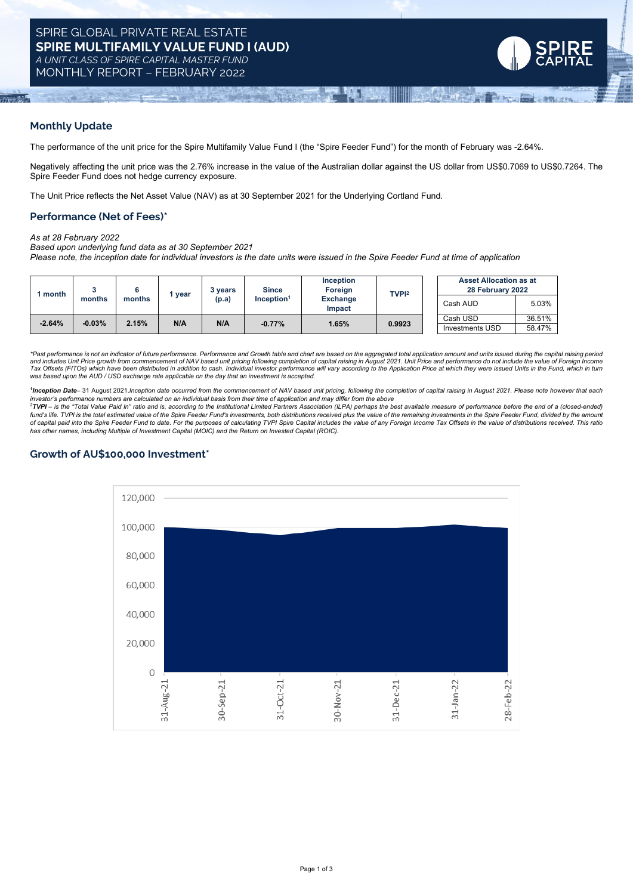

### **Monthly Update**

The performance of the unit price for the Spire Multifamily Value Fund I (the "Spire Feeder Fund") for the month of February was -2.64%.

Negatively affecting the unit price was the 2.76% increase in the value of the Australian dollar against the US dollar from US\$0.7069 to US\$0.7264. The Spire Feeder Fund does not hedge currency exposure.

The Unit Price reflects the Net Asset Value (NAV) as at 30 September 2021 for the Underlying Cortland Fund.

### **Performance (Net of Fees)\***

*As at 28 February 2022*

*Based upon underlying fund data as at 30 September 2021*

Please note, the inception date for individual investors is the date units were issued in the Spire Feeder Fund at time of application

| month    | months    | months | year | 3 vears<br>(p.a) | <b>Since</b><br>Inception <sup>1</sup> | Inception<br>Foreign<br><b>Exchange</b><br>Impact | <b>TVPI2</b> | <b>Asset Allocation as at</b><br>28 February 2022 |        |
|----------|-----------|--------|------|------------------|----------------------------------------|---------------------------------------------------|--------------|---------------------------------------------------|--------|
|          |           |        |      |                  |                                        |                                                   |              | Cash AUD                                          | 5.03%  |
| $-2.64%$ | $-0.03\%$ | 2.15%  | N/A  | N/A              | $-0.77%$                               | 1.65%                                             | 0.9923       | Cash USD                                          | 36.51% |
|          |           |        |      |                  |                                        |                                                   |              | <b>Investments USD</b>                            | 58.47% |

\*Past performance is not an indicator of future performance. Performance and Growth table and chart are based on the aggregated total application amount and units issued during the capital raising period.<br>and includes Unit Tax Offsets (FITOs) which have been distributed in addition to cash. Individual investor performance will vary according to the Application Price at which they were issued Units in the Fund, which in turn *was based upon the AUD / USD exchange rate applicable on the day that an investment is accepted.*

1Inception Date-31 August 2021.Inception date occurred from the commencement of NAV based unit pricing, following the completion of capital raising in August 2021. Please note however that each

investor's performance numbers are calculated on an individual basis from their time of application and may differ from the above<br><sup>2</sup>TVPI – is the "Total Value Paid In" ratio and is, according to the Institutional Limited fund's life. TVPI is the total estimated value of the Spire Feeder Fund's investments, both distributions received plus the value of the remaining investments in the Spire Feeder Fund, divided by the amount of capital paid into the Spire Feeder Fund to date. For the purposes of calculating TVPI Spire Capital includes the value of any Foreign Income Tax Offsets in the value of distributions received. This ratio *has other names, including Multiple of Investment Capital (MOIC) and the Return on Invested Capital (ROIC).*

# **Growth of AU\$100,000 Investment\***

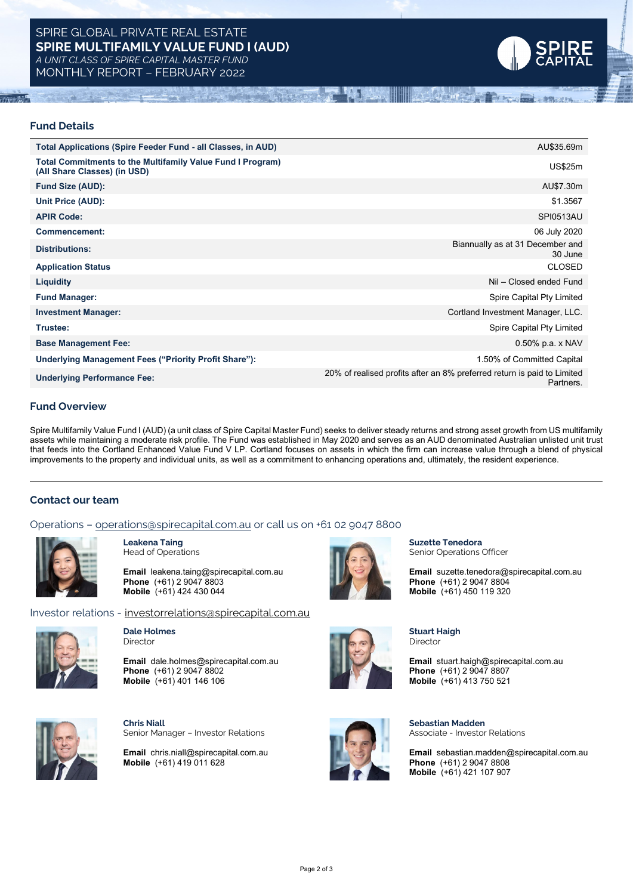# SPIRE GLOBAL PRIVATE REAL ESTATE **SPIRE MULTIFAMILY VALUE FUND I (AUD)** *A UNIT CLASS OF SPIRE CAPITAL MASTER FUND*

MONTHLY REPORT – FEBRUARY 2022



#### **Fund Details**

| <b>Total Applications (Spire Feeder Fund - all Classes, in AUD)</b>                               | AU\$35.69m                                                                           |
|---------------------------------------------------------------------------------------------------|--------------------------------------------------------------------------------------|
| <b>Total Commitments to the Multifamily Value Fund I Program)</b><br>(All Share Classes) (in USD) | <b>US\$25m</b>                                                                       |
| <b>Fund Size (AUD):</b>                                                                           | AU\$7.30m                                                                            |
| Unit Price (AUD):                                                                                 | \$1.3567                                                                             |
| <b>APIR Code:</b>                                                                                 | SPI0513AU                                                                            |
| Commencement:                                                                                     | 06 July 2020                                                                         |
| <b>Distributions:</b>                                                                             | Biannually as at 31 December and<br>30 June                                          |
| <b>Application Status</b>                                                                         | <b>CLOSED</b>                                                                        |
| <b>Liquidity</b>                                                                                  | Nil - Closed ended Fund                                                              |
| <b>Fund Manager:</b>                                                                              | Spire Capital Pty Limited                                                            |
| <b>Investment Manager:</b>                                                                        | Cortland Investment Manager, LLC.                                                    |
| Trustee:                                                                                          | Spire Capital Pty Limited                                                            |
| <b>Base Management Fee:</b>                                                                       | $0.50\%$ p.a. x NAV                                                                  |
| Underlying Management Fees ("Priority Profit Share"):                                             | 1.50% of Committed Capital                                                           |
| <b>Underlying Performance Fee:</b>                                                                | 20% of realised profits after an 8% preferred return is paid to Limited<br>Partners. |

### **Fund Overview**

Spire Multifamily Value Fund I (AUD) (a unit class of Spire Capital Master Fund) seeks to deliver steady returns and strong asset growth from US multifamily assets while maintaining a moderate risk profile. The Fund was established in May 2020 and serves as an AUD denominated Australian unlisted unit trust that feeds into the Cortland Enhanced Value Fund V LP. Cortland focuses on assets in which the firm can increase value through a blend of physical improvements to the property and individual units, as well as a commitment to enhancing operations and, ultimately, the resident experience.

#### **Contact our team**

#### Operations – [operations@spirecapital.com.au](mailto:operations@spirecapital.com.au) or call us on +61 02 9047 8800



**Leakena Taing** Head of Operations

**Email** leakena.taing@spirecapital.com.au **Phone** (+61) 2 9047 8803 **Mobile** (+61) 424 430 044

Investor relations - [investorrelations@spirecapital.com.au](mailto:investorrelations@spirecapital.com.au)



**Dale Holmes** Director

**Email** dale.holmes@spirecapital.com.au **Phone** (+61) 2 9047 8802 **Mobile** (+61) 401 146 106



**Chris Niall** Senior Manager – Investor Relations

**Email** chris.niall@spirecapital.com.au **Mobile** (+61) 419 011 628



**Suzette Tenedora** Senior Operations Officer

**Email** suzette.tenedora@spirecapital.com.au **Phone** (+61) 2 9047 8804 **Mobile** (+61) 450 119 320



**Sebastian Madden** Associate - Investor Relations

**Stuart Haigh**

**Email** sebastian.madden@spirecapital.com.au **Phone** (+61) 2 9047 8808 **Mobile** (+61) 421 107 907

Director